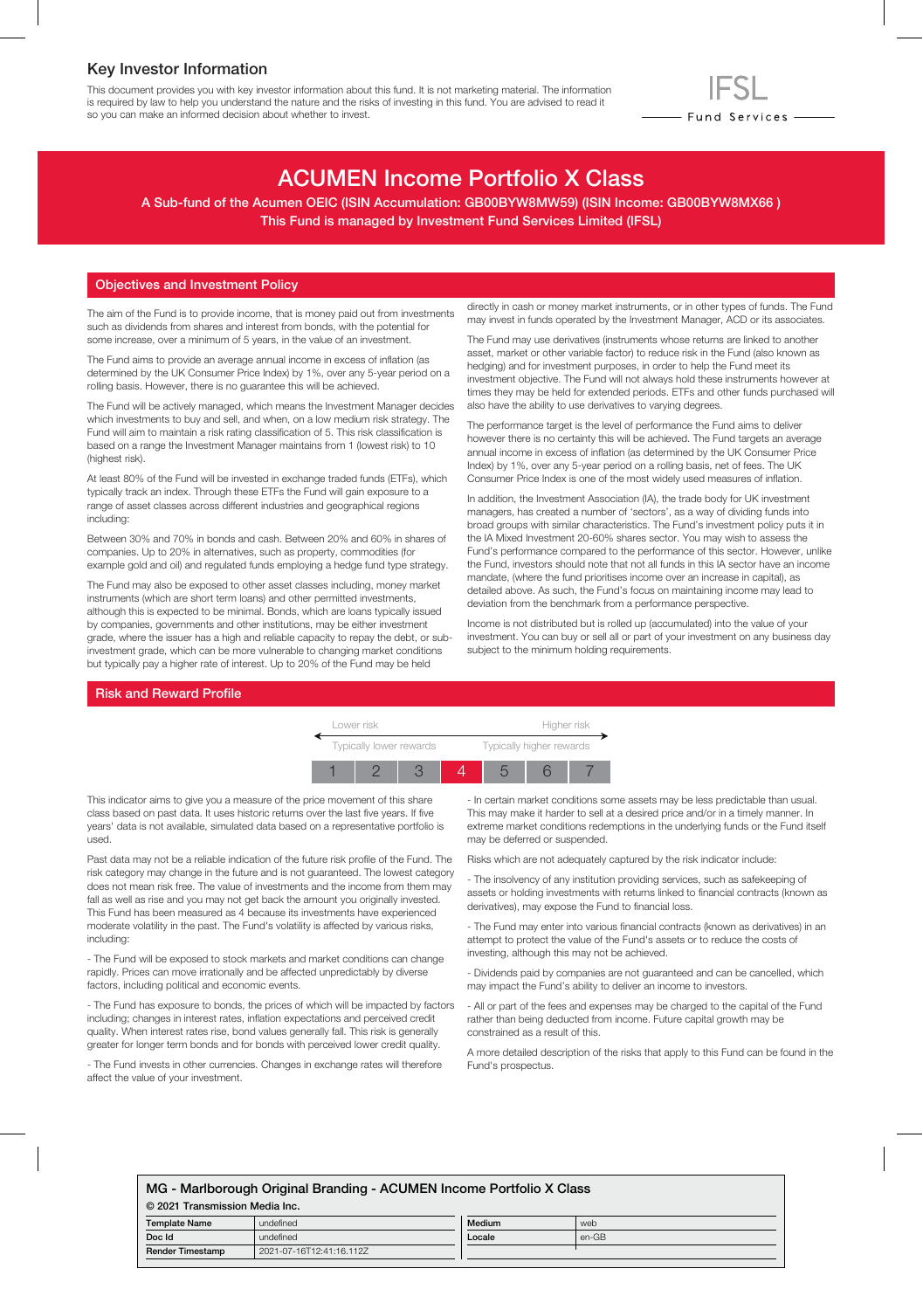### Key Investor Information

This document provides you with key investor information about this fund. It is not marketing material. The information is required by law to help you understand the nature and the risks of investing in this fund. You are advised to read it so you can make an informed decision about whether to invest.

# ACUMEN Income Portfolio X Class

A Sub-fund of the Acumen OEIC (ISIN Accumulation: GB00BYW8MW59) (ISIN Income: GB00BYW8MX66 ) This Fund is managed by Investment Fund Services Limited (IFSL)

#### Objectives and Investment Policy

The aim of the Fund is to provide income, that is money paid out from investments such as dividends from shares and interest from bonds, with the potential for some increase, over a minimum of 5 years, in the value of an investment.

The Fund aims to provide an average annual income in excess of inflation (as determined by the UK Consumer Price Index) by 1%, over any 5-year period on a rolling basis. However, there is no guarantee this will be achieved.

The Fund will be actively managed, which means the Investment Manager decides which investments to buy and sell, and when, on a low medium risk strategy. The Fund will aim to maintain a risk rating classification of 5. This risk classification is based on a range the Investment Manager maintains from 1 (lowest risk) to 10 (highest risk).

At least 80% of the Fund will be invested in exchange traded funds (ETFs), which typically track an index. Through these ETFs the Fund will gain exposure to a range of asset classes across different industries and geographical regions including:

Between 30% and 70% in bonds and cash. Between 20% and 60% in shares of companies. Up to 20% in alternatives, such as property, commodities (for example gold and oil) and regulated funds employing a hedge fund type strategy.

The Fund may also be exposed to other asset classes including, money market instruments (which are short term loans) and other permitted investments, although this is expected to be minimal. Bonds, which are loans typically issued by companies, governments and other institutions, may be either investment grade, where the issuer has a high and reliable capacity to repay the debt, or subinvestment grade, which can be more vulnerable to changing market conditions but typically pay a higher rate of interest. Up to 20% of the Fund may be held

directly in cash or money market instruments, or in other types of funds. The Fund may invest in funds operated by the Investment Manager, ACD or its associates.

- Fund Services —

The Fund may use derivatives (instruments whose returns are linked to another asset, market or other variable factor) to reduce risk in the Fund (also known as hedging) and for investment purposes, in order to help the Fund meet its investment objective. The Fund will not always hold these instruments however at times they may be held for extended periods. ETFs and other funds purchased will also have the ability to use derivatives to varying degrees.

The performance target is the level of performance the Fund aims to deliver however there is no certainty this will be achieved. The Fund targets an average annual income in excess of inflation (as determined by the UK Consumer Price Index) by 1%, over any 5-year period on a rolling basis, net of fees. The UK Consumer Price Index is one of the most widely used measures of inflation.

In addition, the Investment Association (IA), the trade body for UK investment managers, has created a number of 'sectors', as a way of dividing funds into broad groups with similar characteristics. The Fund's investment policy puts it in the IA Mixed Investment 20-60% shares sector. You may wish to assess the Fund's performance compared to the performance of this sector. However, unlike the Fund, investors should note that not all funds in this IA sector have an income mandate, (where the fund prioritises income over an increase in capital), as detailed above. As such, the Fund's focus on maintaining income may lead to deviation from the benchmark from a performance perspective.

Income is not distributed but is rolled up (accumulated) into the value of your investment. You can buy or sell all or part of your investment on any business day subject to the minimum holding requirements.

#### Risk and Reward Profile



This indicator aims to give you a measure of the price movement of this share class based on past data. It uses historic returns over the last five years. If five years' data is not available, simulated data based on a representative portfolio is used.

Past data may not be a reliable indication of the future risk profile of the Fund. The risk category may change in the future and is not guaranteed. The lowest category does not mean risk free. The value of investments and the income from them may fall as well as rise and you may not get back the amount you originally invested. This Fund has been measured as 4 because its investments have experienced moderate volatility in the past. The Fund's volatility is affected by various risks, including:

- The Fund will be exposed to stock markets and market conditions can change rapidly. Prices can move irrationally and be affected unpredictably by diverse factors, including political and economic events.

- The Fund has exposure to bonds, the prices of which will be impacted by factors including; changes in interest rates, inflation expectations and perceived credit quality. When interest rates rise, bond values generally fall. This risk is generally greater for longer term bonds and for bonds with perceived lower credit quality.

- The Fund invests in other currencies. Changes in exchange rates will therefore affect the value of your investment.

- In certain market conditions some assets may be less predictable than usual. This may make it harder to sell at a desired price and/or in a timely manner. In extreme market conditions redemptions in the underlying funds or the Fund itself may be deferred or suspended.

Risks which are not adequately captured by the risk indicator include:

- The insolvency of any institution providing services, such as safekeeping of assets or holding investments with returns linked to financial contracts (known as derivatives), may expose the Fund to financial loss.

- The Fund may enter into various financial contracts (known as derivatives) in an attempt to protect the value of the Fund's assets or to reduce the costs of investing, although this may not be achieved.

- Dividends paid by companies are not guaranteed and can be cancelled, which may impact the Fund's ability to deliver an income to investors.

- All or part of the fees and expenses may be charged to the capital of the Fund rather than being deducted from income. Future capital growth may be constrained as a result of this.

A more detailed description of the risks that apply to this Fund can be found in the Fund's prospectus.